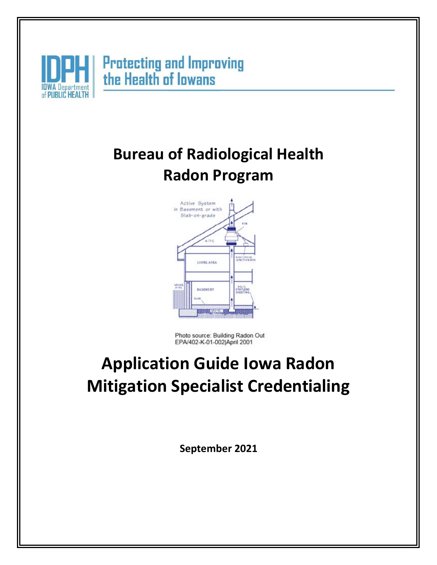

# **Bureau of Radiological Health Radon Program**



Photo source: Building Radon Out EPA/402-K-01-002|April 2001

# **Application Guide Iowa Radon Mitigation Specialist Credentialing**

**September 2021**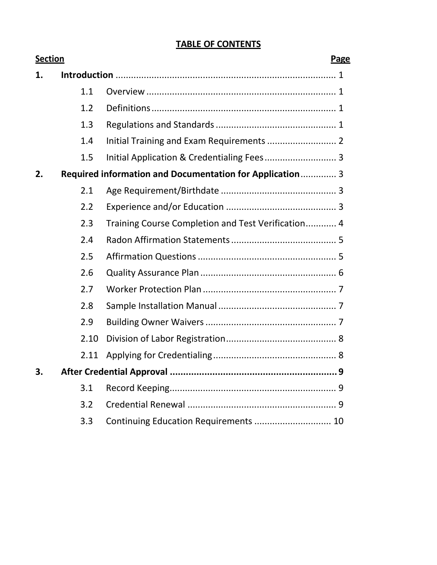# **TABLE OF CONTENTS**

| <b>Section</b> |      | Page                                                     |   |
|----------------|------|----------------------------------------------------------|---|
| 1.             |      |                                                          |   |
|                | 1.1  |                                                          |   |
|                | 1.2  |                                                          |   |
|                | 1.3  |                                                          |   |
|                | 1.4  |                                                          |   |
|                | 1.5  |                                                          |   |
| 2.             |      | Required information and Documentation for Application 3 |   |
|                | 2.1  |                                                          |   |
|                | 2.2  |                                                          |   |
|                | 2.3  | Training Course Completion and Test Verification 4       |   |
|                | 2.4  |                                                          |   |
|                | 2.5  |                                                          |   |
|                | 2.6  |                                                          |   |
|                | 2.7  |                                                          |   |
|                | 2.8  |                                                          |   |
|                | 2.9  |                                                          |   |
|                | 2.10 |                                                          |   |
|                | 2.11 |                                                          |   |
|                |      |                                                          | q |
|                | 3.1  |                                                          |   |
|                | 3.2  |                                                          |   |
|                | 3.3  | Continuing Education Requirements  10                    |   |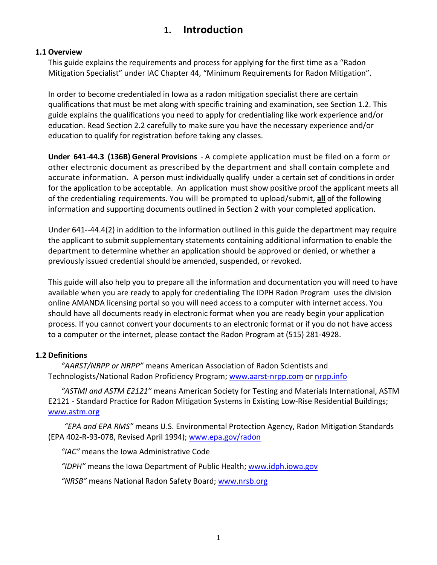# **1. Introduction**

### <span id="page-2-0"></span>**1.1 Overview**

This guide explains the requirements and process for applying for the first time as a "Radon Mitigation Specialist" under IAC Chapter 44, "Minimum Requirements for Radon Mitigation".

In order to become credentialed in Iowa as a radon mitigation specialist there are certain qualifications that must be met along with specific training and examination, see Section 1.2. This guide explains the qualifications you need to apply for credentialing like work experience and/or education. Read Section 2.2 carefully to make sure you have the necessary experience and/or education to qualify for registration before taking any classes.

**Under 641-44.3 (136B) General Provisions** - A complete application must be filed on a form or other electronic document as prescribed by the department and shall contain complete and accurate information. A person must individually qualify under a certain set of conditions in order for the application to be acceptable. An application must show positive proof the applicant meets all of the credentialing requirements. You will be prompted to upload/submit, **all** of the following information and supporting documents outlined in Section 2 with your completed application.

Under 641--44.4(2) in addition to the information outlined in this guide the department may require the applicant to submit supplementary statements containing additional information to enable the department to determine whether an application should be approved or denied, or whether a previously issued credential should be amended, suspended, or revoked.

This guide will also help you to prepare all the information and documentation you will need to have available when you are ready to apply for credentialing The IDPH Radon Program uses the division online AMANDA licensing portal so you will need access to a computer with internet access. You should have all documents ready in electronic format when you are ready begin your application process. If you cannot convert your documents to an electronic format or if you do not have access to a computer or the internet, please contact the Radon Program at (515) 281-4928.

# **1.2 Definitions**

*"AARST/NRPP or NRPP"* means American Association of Radon Scientists and Technologists/National Radon Proficiency Program; [www.aarst-nrpp.com](http://www.aarst-nrpp.com/) or nrpp.info

*"ASTMI and ASTM E2121"* means American Society for Testing and Materials International, ASTM E2121 - Standard Practice for Radon Mitigation Systems in Existing Low-Rise Residential Buildings; [www.astm.org](http://www.astm.org/)

*"EPA and EPA RMS"* means U.S. Environmental Protection Agency, Radon Mitigation Standards (EPA 402-R-93-078, Revised April 1994); [www.epa.gov/radon](http://www.epa.gov/radon)

*"IAC"* means the Iowa Administrative Code

*"IDPH"* means the Iowa Department of Public Health; [www.idph.iowa.gov](http://www.idph.iowa.gov/)

*"NRSB"* means National Radon Safety Board; [www.nrsb.org](http://www.nrsb.org/)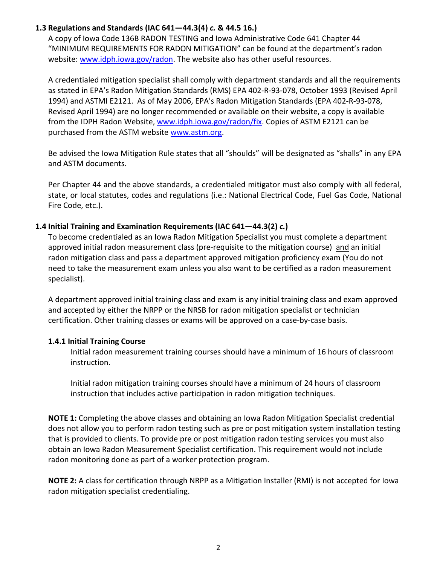# **1.3 Regulations and Standards (IAC 641—44.3(4)** *c.* **& 44.5 16.)**

A copy of Iowa Code 136B RADON TESTING and Iowa Administrative Code 641 Chapter 44 "MINIMUM REQUIREMENTS FOR RADON MITIGATION" can be found at the department's radon website: www.idph.jowa.gov/radon. The website also has other useful resources.

A credentialed mitigation specialist shall comply with department standards and all the requirements as stated in EPA's Radon Mitigation Standards (RMS) EPA 402-R-93-078, October 1993 (Revised April 1994) and ASTMI E2121. As of May 2006, EPA's Radon Mitigation Standards (EPA 402-R-93-078, Revised April 1994) are no longer recommended or available on their website, a copy is available from the IDPH Radon Website, [www.idph.iowa.gov/radon/fix.](http://www.idph.iowa.gov/radon/fix) Copies of ASTM E2121 can be purchased from the ASTM website [www.astm.org.](http://www.astm.org/)

Be advised the Iowa Mitigation Rule states that all "shoulds" will be designated as "shalls" in any EPA and ASTM documents.

Per Chapter 44 and the above standards, a credentialed mitigator must also comply with all federal, state, or local statutes, codes and regulations (i.e.: National Electrical Code, Fuel Gas Code, National Fire Code, etc.).

## **1.4 Initial Training and Examination Requirements (IAC 641—44.3(2)** *c.***)**

To become credentialed as an Iowa Radon Mitigation Specialist you must complete a department approved initial radon measurement class (pre-requisite to the mitigation course) and an initial radon mitigation class and pass a department approved mitigation proficiency exam (You do not need to take the measurement exam unless you also want to be certified as a radon measurement specialist).

A department approved initial training class and exam is any initial training class and exam approved and accepted by either the NRPP or the NRSB for radon mitigation specialist or technician certification. Other training classes or exams will be approved on a case-by-case basis.

# **1.4.1 Initial Training Course**

Initial radon measurement training courses should have a minimum of 16 hours of classroom instruction.

Initial radon mitigation training courses should have a minimum of 24 hours of classroom instruction that includes active participation in radon mitigation techniques.

**NOTE 1:** Completing the above classes and obtaining an Iowa Radon Mitigation Specialist credential does not allow you to perform radon testing such as pre or post mitigation system installation testing that is provided to clients. To provide pre or post mitigation radon testing services you must also obtain an Iowa Radon Measurement Specialist certification. This requirement would not include radon monitoring done as part of a worker protection program.

**NOTE 2:** A class for certification through NRPP as a Mitigation Installer (RMI) is not accepted for Iowa radon mitigation specialist credentialing.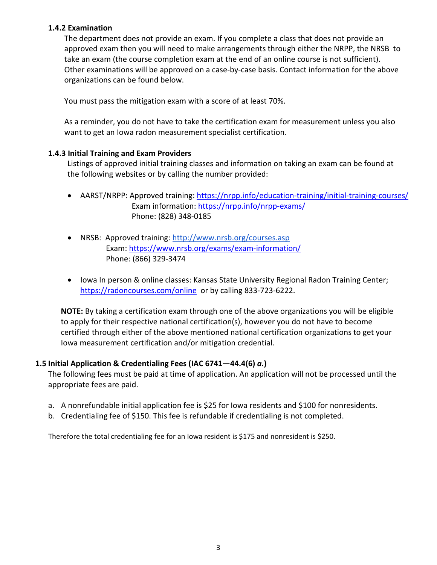### **1.4.2 Examination**

The department does not provide an exam. If you complete a class that does not provide an approved exam then you will need to make arrangements through either the NRPP, the NRSB to take an exam (the course completion exam at the end of an online course is not sufficient). Other examinations will be approved on a case-by-case basis. Contact information for the above organizations can be found below.

You must pass the mitigation exam with a score of at least 70%.

As a reminder, you do not have to take the certification exam for measurement unless you also want to get an Iowa radon measurement specialist certification.

## **1.4.3 Initial Training and Exam Providers**

Listings of approved initial training classes and information on taking an exam can be found at the following websites or by calling the number provided:

- AARST/NRPP: Approved training[: https://nrpp.info/education-training/initial-training-courses/](https://nrpp.info/education-training/initial-training-courses/) Exam information:<https://nrpp.info/nrpp-exams/> Phone: (828) 348-0185
- NRSB: Approved training:<http://www.nrsb.org/courses.asp> Exam:<https://www.nrsb.org/exams/exam-information/> Phone: (866) 329-3474
- Iowa In person & online classes: Kansas State University Regional Radon Training Center; <https://radoncourses.com/online> or by calling 833-723-6222.

**NOTE:** By taking a certification exam through one of the above organizations you will be eligible to apply for their respective national certification(s), however you do not have to become certified through either of the above mentioned national certification organizations to get your Iowa measurement certification and/or mitigation credential.

# **1.5 Initial Application & Credentialing Fees (IAC 6741—44.4(6)** *a.***)**

The following fees must be paid at time of application. An application will not be processed until the appropriate fees are paid.

- a. A nonrefundable initial application fee is \$25 for Iowa residents and \$100 for nonresidents.
- b. Credentialing fee of \$150. This fee is refundable if credentialing is not completed.

Therefore the total credentialing fee for an Iowa resident is \$175 and nonresident is \$250.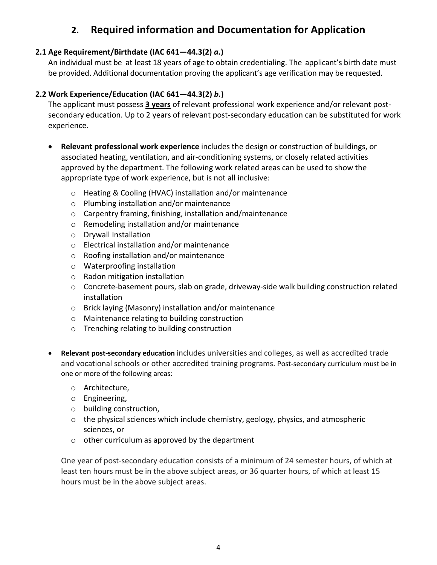# **2. Required information and Documentation for Application**

# **2.1 Age Requirement/Birthdate (IAC 641—44.3(2)** *a.***)**

An individual must be at least 18 years of age to obtain credentialing. The applicant's birth date must be provided. Additional documentation proving the applicant's age verification may be requested.

# **2.2 Work Experience/Education (IAC 641—44.3(2)** *b.***)**

The applicant must possess **3 years** of relevant professional work experience and/or relevant postsecondary education. Up to 2 years of relevant post-secondary education can be substituted for work experience.

- **Relevant professional work experience** includes the design or construction of buildings, or associated heating, ventilation, and air-conditioning systems, or closely related activities approved by the department. The following work related areas can be used to show the appropriate type of work experience, but is not all inclusive:
	- o Heating & Cooling (HVAC) installation and/or maintenance
	- o Plumbing installation and/or maintenance
	- o Carpentry framing, finishing, installation and/maintenance
	- o Remodeling installation and/or maintenance
	- o Drywall Installation
	- o Electrical installation and/or maintenance
	- o Roofing installation and/or maintenance
	- o Waterproofing installation
	- o Radon mitigation installation
	- o Concrete-basement pours, slab on grade, driveway-side walk building construction related installation
	- o Brick laying (Masonry) installation and/or maintenance
	- o Maintenance relating to building construction
	- o Trenching relating to building construction
- **Relevant post-secondary education** includes universities and colleges, as well as accredited trade and vocational schools or other accredited training programs. Post-secondary curriculum must be in one or more of the following areas:
	- o Architecture,
	- o Engineering,
	- o building construction,
	- $\circ$  the physical sciences which include chemistry, geology, physics, and atmospheric sciences, or
	- $\circ$  other curriculum as approved by the department

One year of post-secondary education consists of a minimum of 24 semester hours, of which at least ten hours must be in the above subject areas, or 36 quarter hours, of which at least 15 hours must be in the above subject areas.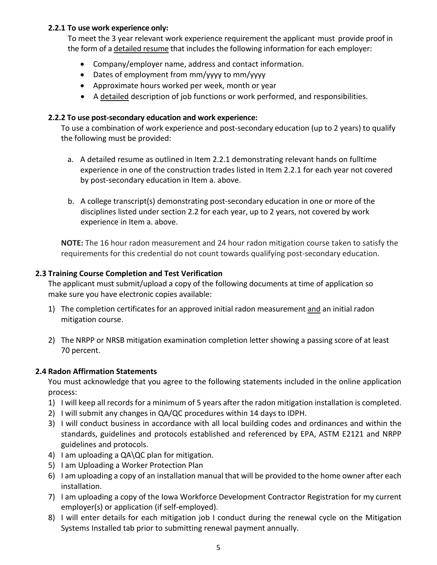## **2.2.1 To use work experience only:**

To meet the 3 year relevant work experience requirement the applicant must provide proof in the form of a detailed resume that includes the following information for each employer:

- Company/employer name, address and contact information.
- Dates of employment from mm/yyyy to mm/yyyy
- Approximate hours worked per week, month or year
- A detailed description of job functions or work performed, and responsibilities.

# **2.2.2 To use post-secondary education and work experience:**

To use a combination of work experience and post-secondary education (up to 2 years) to qualify the following must be provided:

- a. A detailed resume as outlined in Item 2.2.1 demonstrating relevant hands on fulltime experience in one of the construction trades listed in Item 2.2.1 for each year not covered by post-secondary education in Item a. above.
- b. A college transcript(s) demonstrating post-secondary education in one or more of the disciplines listed under section 2.2 for each year, up to 2 years, not covered by work experience in Item a. above.

**NOTE:** The 16 hour radon measurement and 24 hour radon mitigation course taken to satisfy the requirements for this credential do not count towards qualifying post-secondary education.

# **2.3 Training Course Completion and Test Verification**

The applicant must submit/upload a copy of the following documents at time of application so make sure you have electronic copies available:

- 1) The completion certificates for an approved initial radon measurement and an initial radon mitigation course.
- 2) The NRPP or NRSB mitigation examination completion letter showing a passing score of at least 70 percent.

# **2.4 Radon Affirmation Statements**

You must acknowledge that you agree to the following statements included in the online application process:

- 1) I will keep all records for a minimum of 5 years after the radon mitigation installation is completed.
- 2) I will submit any changes in QA/QC procedures within 14 days to IDPH.
- 3) I will conduct business in accordance with all local building codes and ordinances and within the standards, guidelines and protocols established and referenced by EPA, ASTM E2121 and NRPP guidelines and protocols.
- 4) I am uploading a QA\QC plan for mitigation.
- 5) I am Uploading a Worker Protection Plan
- 6) I am uploading a copy of an installation manual that will be provided to the home owner after each installation.
- 7) I am uploading a copy of the Iowa Workforce Development Contractor Registration for my current employer(s) or application (if self-employed).
- 8) I will enter details for each mitigation job I conduct during the renewal cycle on the Mitigation Systems Installed tab prior to submitting renewal payment annually.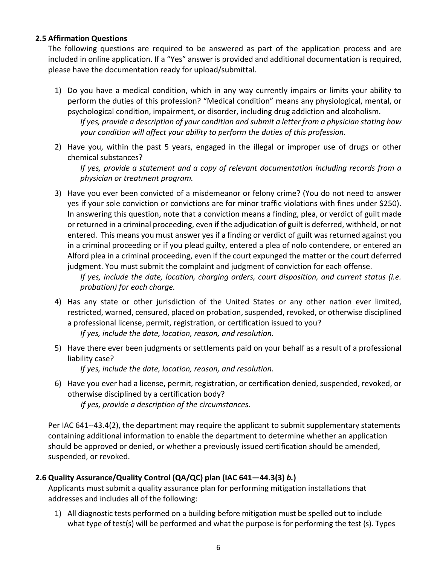#### **2.5 Affirmation Questions**

The following questions are required to be answered as part of the application process and are included in online application. If a "Yes" answer is provided and additional documentation is required, please have the documentation ready for upload/submittal.

1) Do you have a medical condition, which in any way currently impairs or limits your ability to perform the duties of this profession? "Medical condition" means any physiological, mental, or psychological condition, impairment, or disorder, including drug addiction and alcoholism.

*If yes, provide a description of your condition and submit a letter from a physician stating how your condition will affect your ability to perform the duties of this profession.*

2) Have you, within the past 5 years, engaged in the illegal or improper use of drugs or other chemical substances?

*If yes, provide a statement and a copy of relevant documentation including records from a physician or treatment program.*

3) Have you ever been convicted of a misdemeanor or felony crime? (You do not need to answer yes if your sole conviction or convictions are for minor traffic violations with fines under \$250). In answering this question, note that a conviction means a finding, plea, or verdict of guilt made or returned in a criminal proceeding, even if the adjudication of guilt is deferred, withheld, or not entered. This means you must answer yes if a finding or verdict of guilt was returned against you in a criminal proceeding or if you plead guilty, entered a plea of nolo contendere, or entered an Alford plea in a criminal proceeding, even if the court expunged the matter or the court deferred judgment. You must submit the complaint and judgment of conviction for each offense.

*If yes, include the date, location, charging orders, court disposition, and current status (i.e. probation) for each charge.*

4) Has any state or other jurisdiction of the United States or any other nation ever limited, restricted, warned, censured, placed on probation, suspended, revoked, or otherwise disciplined a professional license, permit, registration, or certification issued to you?

*If yes, include the date, location, reason, and resolution.*

5) Have there ever been judgments or settlements paid on your behalf as a result of a professional liability case?

*If yes, include the date, location, reason, and resolution.*

6) Have you ever had a license, permit, registration, or certification denied, suspended, revoked, or otherwise disciplined by a certification body? *If yes, provide a description of the circumstances.*

Per IAC 641--43.4(2), the department may require the applicant to submit supplementary statements containing additional information to enable the department to determine whether an application should be approved or denied, or whether a previously issued certification should be amended, suspended, or revoked.

# **2.6 Quality Assurance/Quality Control (QA/QC) plan (IAC 641—44.3(3)** *b.***)**

Applicants must submit a quality assurance plan for performing mitigation installations that addresses and includes all of the following:

1) All diagnostic tests performed on a building before mitigation must be spelled out to include what type of test(s) will be performed and what the purpose is for performing the test (s). Types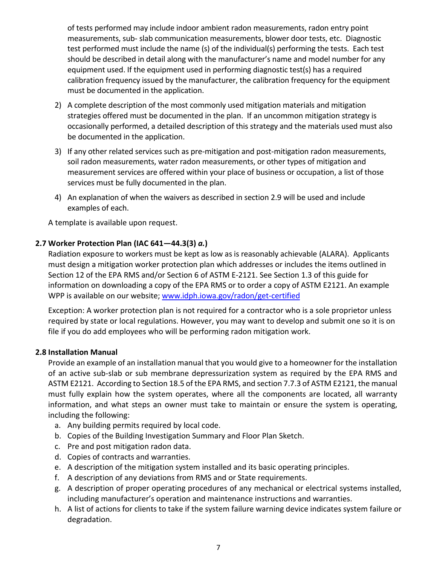of tests performed may include indoor ambient radon measurements, radon entry point measurements, sub- slab communication measurements, blower door tests, etc. Diagnostic test performed must include the name (s) of the individual(s) performing the tests. Each test should be described in detail along with the manufacturer's name and model number for any equipment used. If the equipment used in performing diagnostic test(s) has a required calibration frequency issued by the manufacturer, the calibration frequency for the equipment must be documented in the application.

- 2) A complete description of the most commonly used mitigation materials and mitigation strategies offered must be documented in the plan. If an uncommon mitigation strategy is occasionally performed, a detailed description of this strategy and the materials used must also be documented in the application.
- 3) If any other related services such as pre-mitigation and post-mitigation radon measurements, soil radon measurements, water radon measurements, or other types of mitigation and measurement services are offered within your place of business or occupation, a list of those services must be fully documented in the plan.
- 4) An explanation of when the waivers as described in section 2.9 will be used and include examples of each.

A template is available upon request.

# **2.7 Worker Protection Plan (IAC 641—44.3(3)** *a.***)**

Radiation exposure to workers must be kept as low as is reasonably achievable (ALARA). Applicants must design a mitigation worker protection plan which addresses or includes the items outlined in Section 12 of the EPA RMS and/or Section 6 of ASTM E-2121. See Section 1.3 of this guide for information on downloading a copy of the EPA RMS or to order a copy of ASTM E2121. An example WPP is available on our website; [www.idph.iowa.gov/radon/get-certified](http://www.idph.iowa.gov/radon/get-certified)

Exception: A worker protection plan is not required for a contractor who is a sole proprietor unless required by state or local regulations. However, you may want to develop and submit one so it is on file if you do add employees who will be performing radon mitigation work.

#### **2.8 Installation Manual**

Provide an example of an installation manual that you would give to a homeowner for the installation of an active sub-slab or sub membrane depressurization system as required by the EPA RMS and ASTM E2121. According to Section 18.5 of the EPA RMS, and section 7.7.3 of ASTM E2121, the manual must fully explain how the system operates, where all the components are located, all warranty information, and what steps an owner must take to maintain or ensure the system is operating, including the following:

- a. Any building permits required by local code.
- b. Copies of the Building Investigation Summary and Floor Plan Sketch.
- c. Pre and post mitigation radon data.
- d. Copies of contracts and warranties.
- e. A description of the mitigation system installed and its basic operating principles.
- f. A description of any deviations from RMS and or State requirements.
- g. A description of proper operating procedures of any mechanical or electrical systems installed, including manufacturer's operation and maintenance instructions and warranties.
- h. A list of actions for clients to take if the system failure warning device indicates system failure or degradation.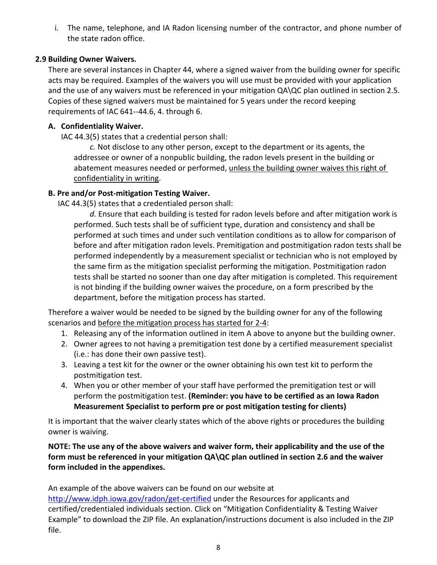i. The name, telephone, and IA Radon licensing number of the contractor, and phone number of the state radon office.

# **2.9 Building Owner Waivers.**

There are several instances in Chapter 44, where a signed waiver from the building owner for specific acts may be required. Examples of the waivers you will use must be provided with your application and the use of any waivers must be referenced in your mitigation QA\QC plan outlined in section 2.5. Copies of these signed waivers must be maintained for 5 years under the record keeping requirements of IAC 641--44.6, 4. through 6.

# **A. Confidentiality Waiver.**

IAC 44.3(5) states that a credential person shall:

*c.* Not disclose to any other person, except to the department or its agents, the addressee or owner of a nonpublic building, the radon levels present in the building or abatement measures needed or performed, unless the building owner waives this right of confidentiality in writing.

# **B. Pre and/or Post-mitigation Testing Waiver.**

IAC 44.3(5) states that a credentialed person shall:

*d.* Ensure that each building is tested for radon levels before and after mitigation work is performed. Such tests shall be of sufficient type, duration and consistency and shall be performed at such times and under such ventilation conditions as to allow for comparison of before and after mitigation radon levels. Premitigation and postmitigation radon tests shall be performed independently by a measurement specialist or technician who is not employed by the same firm as the mitigation specialist performing the mitigation. Postmitigation radon tests shall be started no sooner than one day after mitigation is completed. This requirement is not binding if the building owner waives the procedure, on a form prescribed by the department, before the mitigation process has started.

Therefore a waiver would be needed to be signed by the building owner for any of the following scenarios and before the mitigation process has started for 2-4:

- 1. Releasing any of the information outlined in item A above to anyone but the building owner.
- 2. Owner agrees to not having a premitigation test done by a certified measurement specialist (i.e.: has done their own passive test).
- 3. Leaving a test kit for the owner or the owner obtaining his own test kit to perform the postmitigation test.
- 4. When you or other member of your staff have performed the premitigation test or will perform the postmitigation test. **(Reminder: you have to be certified as an Iowa Radon Measurement Specialist to perform pre or post mitigation testing for clients)**

It is important that the waiver clearly states which of the above rights or procedures the building owner is waiving.

**NOTE: The use any of the above waivers and waiver form, their applicability and the use of the form must be referenced in your mitigation QA\QC plan outlined in section 2.6 and the waiver form included in the appendixes.**

An example of the above waivers can be found on our website at

<http://www.idph.iowa.gov/radon/get-certified> under the Resources for applicants and certified/credentialed individuals section. Click on "Mitigation Confidentiality & Testing Waiver Example" to download the ZIP file. An explanation/instructions document is also included in the ZIP file.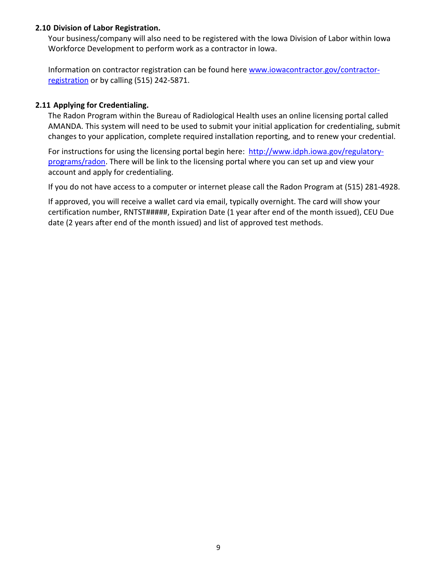## **2.10 Division of Labor Registration.**

Your business/company will also need to be registered with the Iowa Division of Labor within Iowa Workforce Development to perform work as a contractor in Iowa.

Information on contractor registration can be found her[e www.iowacontractor.gov/contractor](http://www.iowacontractor.gov/contractor-registration)[registration](http://www.iowacontractor.gov/contractor-registration) or by calling (515) 242-5871.

## **2.11 Applying for Credentialing.**

The Radon Program within the Bureau of Radiological Health uses an online licensing portal called AMANDA. This system will need to be used to submit your initial application for credentialing, submit changes to your application, complete required installation reporting, and to renew your credential.

For instructions for using the licensing portal begin here: [http://www.idph.iowa.gov/regulatory](http://www.idph.iowa.gov/regulatory-programs/radon)[programs/radon.](http://www.idph.iowa.gov/regulatory-programs/radon) There will be link to the licensing portal where you can set up and view your account and apply for credentialing.

If you do not have access to a computer or internet please call the Radon Program at (515) 281-4928.

If approved, you will receive a wallet card via email, typically overnight. The card will show your certification number, RNTST#####, Expiration Date (1 year after end of the month issued), CEU Due date (2 years after end of the month issued) and list of approved test methods.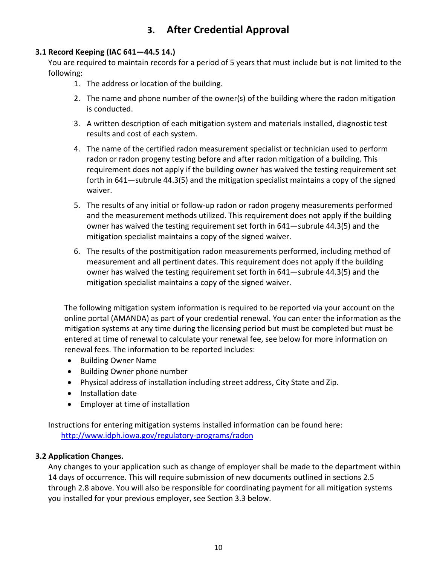# **3. After Credential Approval**

# **3.1 Record Keeping (IAC 641—44.5 14.)**

You are required to maintain records for a period of 5 years that must include but is not limited to the following:

- 1. The address or location of the building.
- 2. The name and phone number of the owner(s) of the building where the radon mitigation is conducted.
- 3. A written description of each mitigation system and materials installed, diagnostic test results and cost of each system.
- 4. The name of the certified radon measurement specialist or technician used to perform radon or radon progeny testing before and after radon mitigation of a building. This requirement does not apply if the building owner has waived the testing requirement set forth in 641—subrule 44.3(5) and the mitigation specialist maintains a copy of the signed waiver.
- 5. The results of any initial or follow-up radon or radon progeny measurements performed and the measurement methods utilized. This requirement does not apply if the building owner has waived the testing requirement set forth in 641—subrule 44.3(5) and the mitigation specialist maintains a copy of the signed waiver.
- 6. The results of the postmitigation radon measurements performed, including method of measurement and all pertinent dates. This requirement does not apply if the building owner has waived the testing requirement set forth in 641—subrule 44.3(5) and the mitigation specialist maintains a copy of the signed waiver.

The following mitigation system information is required to be reported via your account on the online portal (AMANDA) as part of your credential renewal. You can enter the information as the mitigation systems at any time during the licensing period but must be completed but must be entered at time of renewal to calculate your renewal fee, see below for more information on renewal fees. The information to be reported includes:

- Building Owner Name
- Building Owner phone number
- Physical address of installation including street address, City State and Zip.
- Installation date
- Employer at time of installation

Instructions for entering mitigation systems installed information can be found here: <http://www.idph.iowa.gov/regulatory-programs/radon>

# **3.2 Application Changes.**

Any changes to your application such as change of employer shall be made to the department within 14 days of occurrence. This will require submission of new documents outlined in sections 2.5 through 2.8 above. You will also be responsible for coordinating payment for all mitigation systems you installed for your previous employer, see Section 3.3 below.